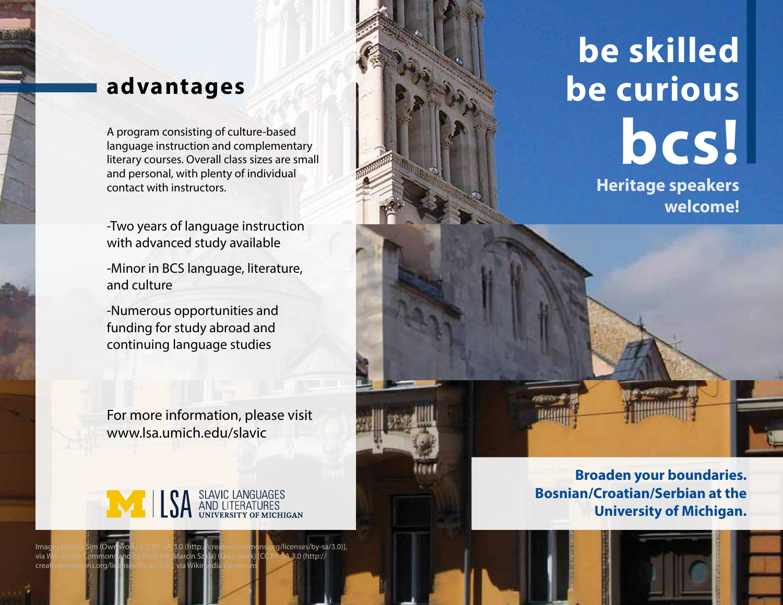## **advantages**

A program consisting of culture-based<br>language instruction and complementary<br>literary courses. Overall class sizes are small language instruction and complementary literary courses. Overall class sizes are small and personal, with plenty of individual contact with instructors.

-Two years of language instruction with advanced study available

-Minor in BCS language, literature, and culture

-Numerous opportunities and funding for study abroad and continuing language studies

For more information, please visit www.lsa.umich.edu/slavic



Images by Olja Sim (Own work) [CC BY-SA 3.0 (http://creativecommons.org/licenses/by-sa/3.0)], via Wikimedia Commons and by Pudelek (Marcin Szala) (Own work) [CC BY-SA 3.0 (http://

creativecommons.org/licenses/by-sa/3.0)], via Wikimedia Commons

**Heritage speakers be skilled be curious**

**welcome!**

**Broaden your boundaries. Bosnian/Croatian/Serbian at the University of Michigan.**